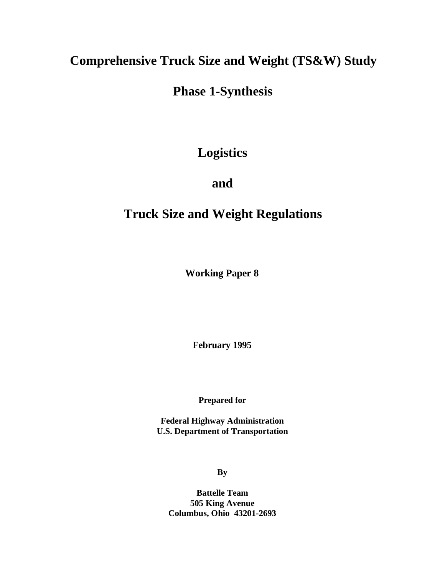# **Comprehensive Truck Size and Weight (TS&W) Study**

# **Phase 1-Synthesis**

# **Logistics**

# **and**

# **Truck Size and Weight Regulations**

**Working Paper 8**

**February 1995**

**Prepared for**

**Federal Highway Administration U.S. Department of Transportation**

**By**

**Battelle Team 505 King Avenue Columbus, Ohio 43201-2693**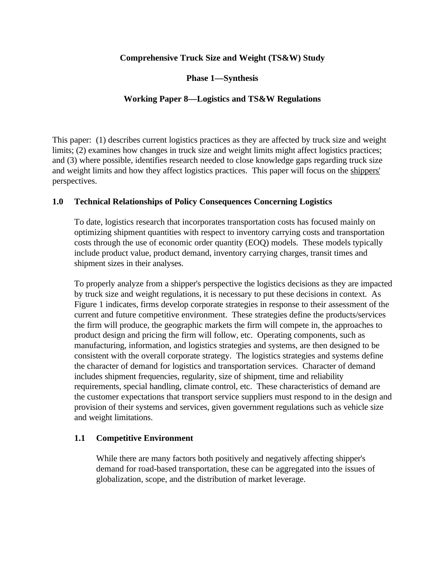# **Comprehensive Truck Size and Weight (TS&W) Study**

**Phase 1—Synthesis**

# **Working Paper 8—Logistics and TS&W Regulations**

This paper: (1) describes current logistics practices as they are affected by truck size and weight limits; (2) examines how changes in truck size and weight limits might affect logistics practices; and (3) where possible, identifies research needed to close knowledge gaps regarding truck size and weight limits and how they affect logistics practices. This paper will focus on the shippers' perspectives.

# **1.0 Technical Relationships of Policy Consequences Concerning Logistics**

To date, logistics research that incorporates transportation costs has focused mainly on optimizing shipment quantities with respect to inventory carrying costs and transportation costs through the use of economic order quantity (EOQ) models. These models typically include product value, product demand, inventory carrying charges, transit times and shipment sizes in their analyses.

To properly analyze from a shipper's perspective the logistics decisions as they are impacted by truck size and weight regulations, it is necessary to put these decisions in context. As Figure 1 indicates, firms develop corporate strategies in response to their assessment of the current and future competitive environment. These strategies define the products/services the firm will produce, the geographic markets the firm will compete in, the approaches to product design and pricing the firm will follow, etc. Operating components, such as manufacturing, information, and logistics strategies and systems, are then designed to be consistent with the overall corporate strategy. The logistics strategies and systems define the character of demand for logistics and transportation services. Character of demand includes shipment frequencies, regularity, size of shipment, time and reliability requirements, special handling, climate control, etc. These characteristics of demand are the customer expectations that transport service suppliers must respond to in the design and provision of their systems and services, given government regulations such as vehicle size and weight limitations.

# **1.1 Competitive Environment**

While there are many factors both positively and negatively affecting shipper's demand for road-based transportation, these can be aggregated into the issues of globalization, scope, and the distribution of market leverage.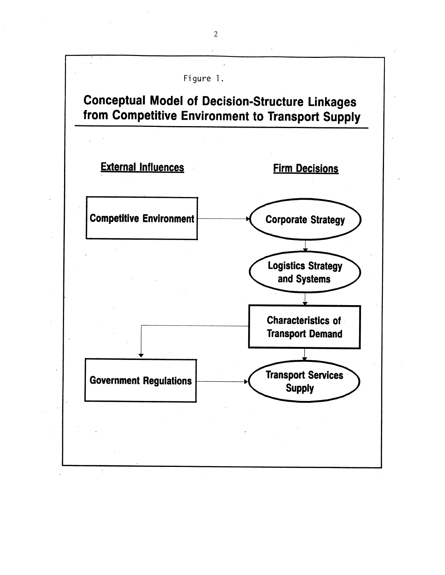

 $\overline{2}$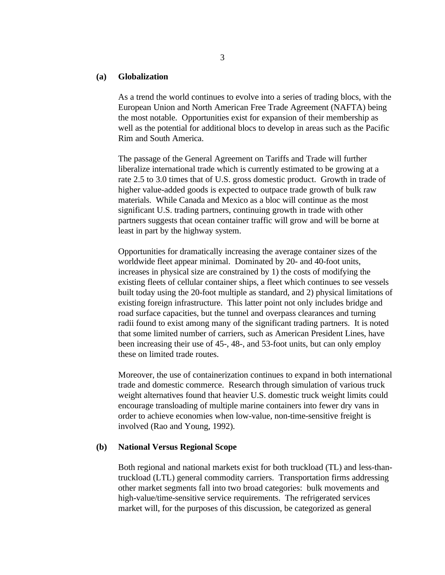### **(a) Globalization**

As a trend the world continues to evolve into a series of trading blocs, with the European Union and North American Free Trade Agreement (NAFTA) being the most notable. Opportunities exist for expansion of their membership as well as the potential for additional blocs to develop in areas such as the Pacific Rim and South America.

The passage of the General Agreement on Tariffs and Trade will further liberalize international trade which is currently estimated to be growing at a rate 2.5 to 3.0 times that of U.S. gross domestic product. Growth in trade of higher value-added goods is expected to outpace trade growth of bulk raw materials. While Canada and Mexico as a bloc will continue as the most significant U.S. trading partners, continuing growth in trade with other partners suggests that ocean container traffic will grow and will be borne at least in part by the highway system.

Opportunities for dramatically increasing the average container sizes of the worldwide fleet appear minimal. Dominated by 20- and 40-foot units, increases in physical size are constrained by 1) the costs of modifying the existing fleets of cellular container ships, a fleet which continues to see vessels built today using the 20-foot multiple as standard, and 2) physical limitations of existing foreign infrastructure. This latter point not only includes bridge and road surface capacities, but the tunnel and overpass clearances and turning radii found to exist among many of the significant trading partners. It is noted that some limited number of carriers, such as American President Lines, have been increasing their use of 45-, 48-, and 53-foot units, but can only employ these on limited trade routes.

Moreover, the use of containerization continues to expand in both international trade and domestic commerce. Research through simulation of various truck weight alternatives found that heavier U.S. domestic truck weight limits could encourage transloading of multiple marine containers into fewer dry vans in order to achieve economies when low-value, non-time-sensitive freight is involved (Rao and Young, 1992).

# **(b) National Versus Regional Scope**

Both regional and national markets exist for both truckload (TL) and less-thantruckload (LTL) general commodity carriers. Transportation firms addressing other market segments fall into two broad categories: bulk movements and high-value/time-sensitive service requirements. The refrigerated services market will, for the purposes of this discussion, be categorized as general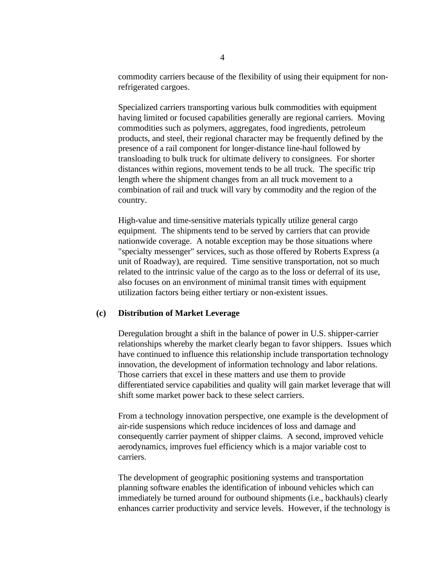commodity carriers because of the flexibility of using their equipment for nonrefrigerated cargoes.

Specialized carriers transporting various bulk commodities with equipment having limited or focused capabilities generally are regional carriers. Moving commodities such as polymers, aggregates, food ingredients, petroleum products, and steel, their regional character may be frequently defined by the presence of a rail component for longer-distance line-haul followed by transloading to bulk truck for ultimate delivery to consignees. For shorter distances within regions, movement tends to be all truck. The specific trip length where the shipment changes from an all truck movement to a combination of rail and truck will vary by commodity and the region of the country.

High-value and time-sensitive materials typically utilize general cargo equipment. The shipments tend to be served by carriers that can provide nationwide coverage. A notable exception may be those situations where "specialty messenger" services, such as those offered by Roberts Express (a unit of Roadway), are required. Time sensitive transportation, not so much related to the intrinsic value of the cargo as to the loss or deferral of its use, also focuses on an environment of minimal transit times with equipment utilization factors being either tertiary or non-existent issues.

# **(c) Distribution of Market Leverage**

Deregulation brought a shift in the balance of power in U.S. shipper-carrier relationships whereby the market clearly began to favor shippers. Issues which have continued to influence this relationship include transportation technology innovation, the development of information technology and labor relations. Those carriers that excel in these matters and use them to provide differentiated service capabilities and quality will gain market leverage that will shift some market power back to these select carriers.

From a technology innovation perspective, one example is the development of air-ride suspensions which reduce incidences of loss and damage and consequently carrier payment of shipper claims. A second, improved vehicle aerodynamics, improves fuel efficiency which is a major variable cost to carriers.

The development of geographic positioning systems and transportation planning software enables the identification of inbound vehicles which can immediately be turned around for outbound shipments (i.e., backhauls) clearly enhances carrier productivity and service levels. However, if the technology is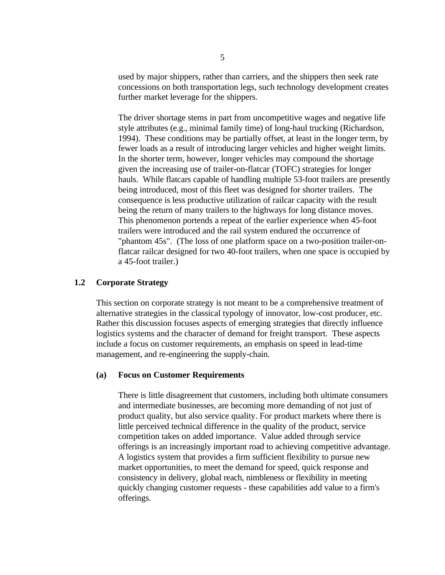used by major shippers, rather than carriers, and the shippers then seek rate concessions on both transportation legs, such technology development creates further market leverage for the shippers.

The driver shortage stems in part from uncompetitive wages and negative life style attributes (e.g., minimal family time) of long-haul trucking (Richardson, 1994). These conditions may be partially offset, at least in the longer term, by fewer loads as a result of introducing larger vehicles and higher weight limits. In the shorter term, however, longer vehicles may compound the shortage given the increasing use of trailer-on-flatcar (TOFC) strategies for longer hauls. While flatcars capable of handling multiple 53-foot trailers are presently being introduced, most of this fleet was designed for shorter trailers. The consequence is less productive utilization of railcar capacity with the result being the return of many trailers to the highways for long distance moves. This phenomenon portends a repeat of the earlier experience when 45-foot trailers were introduced and the rail system endured the occurrence of "phantom 45s". (The loss of one platform space on a two-position trailer-onflatcar railcar designed for two 40-foot trailers, when one space is occupied by a 45-foot trailer.)

# **1.2 Corporate Strategy**

This section on corporate strategy is not meant to be a comprehensive treatment of alternative strategies in the classical typology of innovator, low-cost producer, etc. Rather this discussion focuses aspects of emerging strategies that directly influence logistics systems and the character of demand for freight transport. These aspects include a focus on customer requirements, an emphasis on speed in lead-time management, and re-engineering the supply-chain.

# **(a) Focus on Customer Requirements**

There is little disagreement that customers, including both ultimate consumers and intermediate businesses, are becoming more demanding of not just of product quality, but also service quality. For product markets where there is little perceived technical difference in the quality of the product, service competition takes on added importance. Value added through service offerings is an increasingly important road to achieving competitive advantage. A logistics system that provides a firm sufficient flexibility to pursue new market opportunities, to meet the demand for speed, quick response and consistency in delivery, global reach, nimbleness or flexibility in meeting quickly changing customer requests - these capabilities add value to a firm's offerings.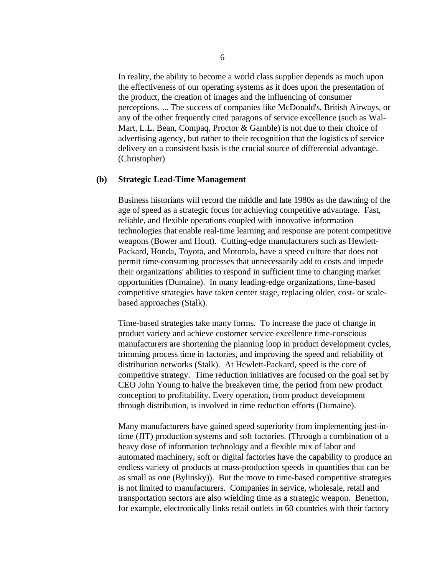In reality, the ability to become a world class supplier depends as much upon the effectiveness of our operating systems as it does upon the presentation of the product, the creation of images and the influencing of consumer perceptions. ... The success of companies like McDonald's, British Airways, or any of the other frequently cited paragons of service excellence (such as Wal-Mart, L.L. Bean, Compaq, Proctor & Gamble) is not due to their choice of advertising agency, but rather to their recognition that the logistics of service delivery on a consistent basis is the crucial source of differential advantage. (Christopher)

### **(b) Strategic Lead-Time Management**

Business historians will record the middle and late 1980s as the dawning of the age of speed as a strategic focus for achieving competitive advantage. Fast, reliable, and flexible operations coupled with innovative information technologies that enable real-time learning and response are potent competitive weapons (Bower and Hout). Cutting-edge manufacturers such as Hewlett-Packard, Honda, Toyota, and Motorola, have a speed culture that does not permit time-consuming processes that unnecessarily add to costs and impede their organizations' abilities to respond in sufficient time to changing market opportunities (Dumaine). In many leading-edge organizations, time-based competitive strategies have taken center stage, replacing older, cost- or scalebased approaches (Stalk).

Time-based strategies take many forms. To increase the pace of change in product variety and achieve customer service excellence time-conscious manufacturers are shortening the planning loop in product development cycles, trimming process time in factories, and improving the speed and reliability of distribution networks (Stalk). At Hewlett-Packard, speed is the core of competitive strategy. Time reduction initiatives are focused on the goal set by CEO John Young to halve the breakeven time, the period from new product conception to profitability. Every operation, from product development through distribution, is involved in time reduction efforts (Dumaine).

Many manufacturers have gained speed superiority from implementing just-intime (JIT) production systems and soft factories. (Through a combination of a heavy dose of information technology and a flexible mix of labor and automated machinery, soft or digital factories have the capability to produce an endless variety of products at mass-production speeds in quantities that can be as small as one (Bylinsky)). But the move to time-based competitive strategies is not limited to manufacturers. Companies in service, wholesale, retail and transportation sectors are also wielding time as a strategic weapon. Benetton, for example, electronically links retail outlets in 60 countries with their factory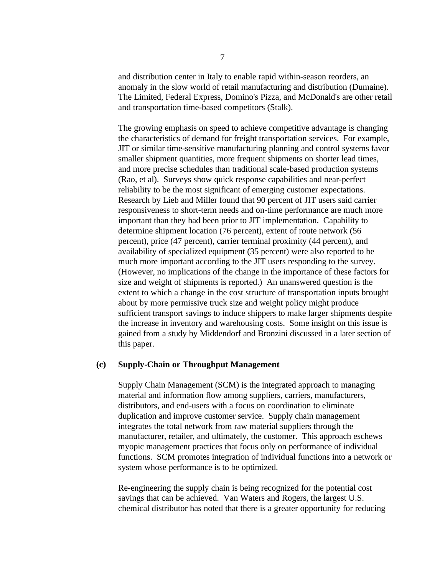and distribution center in Italy to enable rapid within-season reorders, an anomaly in the slow world of retail manufacturing and distribution (Dumaine). The Limited, Federal Express, Domino's Pizza, and McDonald's are other retail and transportation time-based competitors (Stalk).

The growing emphasis on speed to achieve competitive advantage is changing the characteristics of demand for freight transportation services. For example, JIT or similar time-sensitive manufacturing planning and control systems favor smaller shipment quantities, more frequent shipments on shorter lead times, and more precise schedules than traditional scale-based production systems (Rao, et al). Surveys show quick response capabilities and near-perfect reliability to be the most significant of emerging customer expectations. Research by Lieb and Miller found that 90 percent of JIT users said carrier responsiveness to short-term needs and on-time performance are much more important than they had been prior to JIT implementation. Capability to determine shipment location (76 percent), extent of route network (56 percent), price (47 percent), carrier terminal proximity (44 percent), and availability of specialized equipment (35 percent) were also reported to be much more important according to the JIT users responding to the survey. (However, no implications of the change in the importance of these factors for size and weight of shipments is reported.) An unanswered question is the extent to which a change in the cost structure of transportation inputs brought about by more permissive truck size and weight policy might produce sufficient transport savings to induce shippers to make larger shipments despite the increase in inventory and warehousing costs. Some insight on this issue is gained from a study by Middendorf and Bronzini discussed in a later section of this paper.

# **(c) Supply-Chain or Throughput Management**

Supply Chain Management (SCM) is the integrated approach to managing material and information flow among suppliers, carriers, manufacturers, distributors, and end-users with a focus on coordination to eliminate duplication and improve customer service. Supply chain management integrates the total network from raw material suppliers through the manufacturer, retailer, and ultimately, the customer. This approach eschews myopic management practices that focus only on performance of individual functions. SCM promotes integration of individual functions into a network or system whose performance is to be optimized.

Re-engineering the supply chain is being recognized for the potential cost savings that can be achieved. Van Waters and Rogers, the largest U.S. chemical distributor has noted that there is a greater opportunity for reducing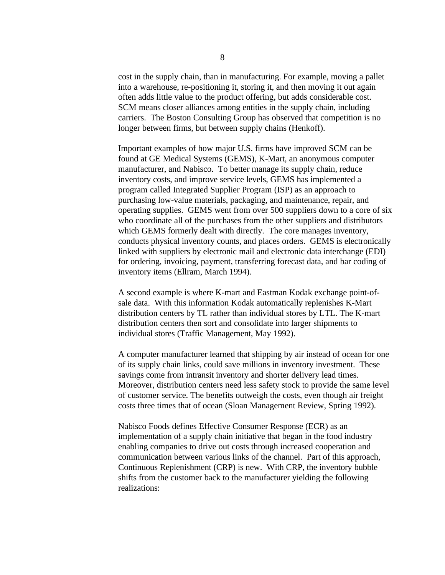cost in the supply chain, than in manufacturing. For example, moving a pallet into a warehouse, re-positioning it, storing it, and then moving it out again often adds little value to the product offering, but adds considerable cost. SCM means closer alliances among entities in the supply chain, including carriers. The Boston Consulting Group has observed that competition is no longer between firms, but between supply chains (Henkoff).

Important examples of how major U.S. firms have improved SCM can be found at GE Medical Systems (GEMS), K-Mart, an anonymous computer manufacturer, and Nabisco. To better manage its supply chain, reduce inventory costs, and improve service levels, GEMS has implemented a program called Integrated Supplier Program (ISP) as an approach to purchasing low-value materials, packaging, and maintenance, repair, and operating supplies. GEMS went from over 500 suppliers down to a core of six who coordinate all of the purchases from the other suppliers and distributors which GEMS formerly dealt with directly. The core manages inventory, conducts physical inventory counts, and places orders. GEMS is electronically linked with suppliers by electronic mail and electronic data interchange (EDI) for ordering, invoicing, payment, transferring forecast data, and bar coding of inventory items (Ellram, March 1994).

A second example is where K-mart and Eastman Kodak exchange point-ofsale data. With this information Kodak automatically replenishes K-Mart distribution centers by TL rather than individual stores by LTL. The K-mart distribution centers then sort and consolidate into larger shipments to individual stores (Traffic Management, May 1992).

A computer manufacturer learned that shipping by air instead of ocean for one of its supply chain links, could save millions in inventory investment. These savings come from intransit inventory and shorter delivery lead times. Moreover, distribution centers need less safety stock to provide the same level of customer service. The benefits outweigh the costs, even though air freight costs three times that of ocean (Sloan Management Review, Spring 1992).

Nabisco Foods defines Effective Consumer Response (ECR) as an implementation of a supply chain initiative that began in the food industry enabling companies to drive out costs through increased cooperation and communication between various links of the channel. Part of this approach, Continuous Replenishment (CRP) is new. With CRP, the inventory bubble shifts from the customer back to the manufacturer yielding the following realizations: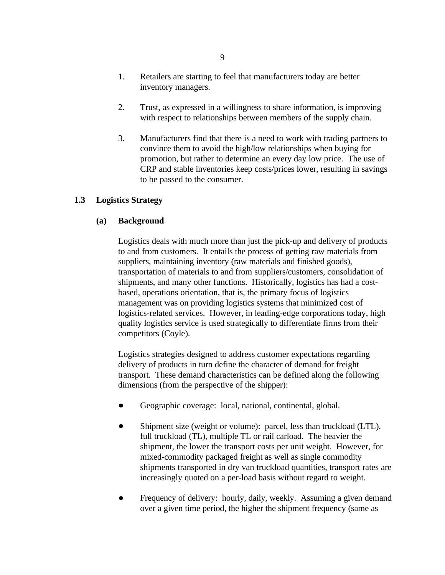- 1. Retailers are starting to feel that manufacturers today are better inventory managers.
- 2. Trust, as expressed in a willingness to share information, is improving with respect to relationships between members of the supply chain.
- 3. Manufacturers find that there is a need to work with trading partners to convince them to avoid the high/low relationships when buying for promotion, but rather to determine an every day low price. The use of CRP and stable inventories keep costs/prices lower, resulting in savings to be passed to the consumer.

# **1.3 Logistics Strategy**

# **(a) Background**

Logistics deals with much more than just the pick-up and delivery of products to and from customers. It entails the process of getting raw materials from suppliers, maintaining inventory (raw materials and finished goods), transportation of materials to and from suppliers/customers, consolidation of shipments, and many other functions. Historically, logistics has had a costbased, operations orientation, that is, the primary focus of logistics management was on providing logistics systems that minimized cost of logistics-related services. However, in leading-edge corporations today, high quality logistics service is used strategically to differentiate firms from their competitors (Coyle).

Logistics strategies designed to address customer expectations regarding delivery of products in turn define the character of demand for freight transport. These demand characteristics can be defined along the following dimensions (from the perspective of the shipper):

- Geographic coverage: local, national, continental, global.  $\bullet$
- Shipment size (weight or volume): parcel, less than truckload (LTL),  $\bullet$ full truckload (TL), multiple TL or rail carload. The heavier the shipment, the lower the transport costs per unit weight. However, for mixed-commodity packaged freight as well as single commodity shipments transported in dry van truckload quantities, transport rates are increasingly quoted on a per-load basis without regard to weight.
- Frequency of delivery: hourly, daily, weekly. Assuming a given demand  $\bullet$ over a given time period, the higher the shipment frequency (same as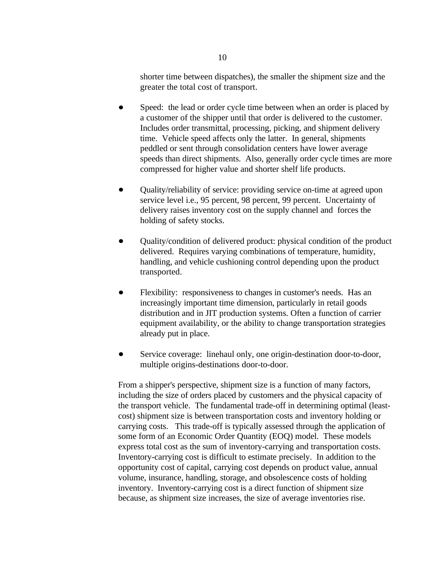shorter time between dispatches), the smaller the shipment size and the greater the total cost of transport.

- Speed: the lead or order cycle time between when an order is placed by  $\bullet$ a customer of the shipper until that order is delivered to the customer. Includes order transmittal, processing, picking, and shipment delivery time. Vehicle speed affects only the latter. In general, shipments peddled or sent through consolidation centers have lower average speeds than direct shipments. Also, generally order cycle times are more compressed for higher value and shorter shelf life products.
- $\bullet$ Quality/reliability of service: providing service on-time at agreed upon service level i.e., 95 percent, 98 percent, 99 percent. Uncertainty of delivery raises inventory cost on the supply channel and forces the holding of safety stocks.
- Quality/condition of delivered product: physical condition of the product delivered. Requires varying combinations of temperature, humidity, handling, and vehicle cushioning control depending upon the product transported.
- Flexibility: responsiveness to changes in customer's needs. Has an increasingly important time dimension, particularly in retail goods distribution and in JIT production systems. Often a function of carrier equipment availability, or the ability to change transportation strategies already put in place.
- $\bullet$ Service coverage: linehaul only, one origin-destination door-to-door, multiple origins-destinations door-to-door.

From a shipper's perspective, shipment size is a function of many factors, including the size of orders placed by customers and the physical capacity of the transport vehicle. The fundamental trade-off in determining optimal (leastcost) shipment size is between transportation costs and inventory holding or carrying costs. This trade-off is typically assessed through the application of some form of an Economic Order Quantity (EOQ) model. These models express total cost as the sum of inventory-carrying and transportation costs. Inventory-carrying cost is difficult to estimate precisely. In addition to the opportunity cost of capital, carrying cost depends on product value, annual volume, insurance, handling, storage, and obsolescence costs of holding inventory. Inventory-carrying cost is a direct function of shipment size because, as shipment size increases, the size of average inventories rise.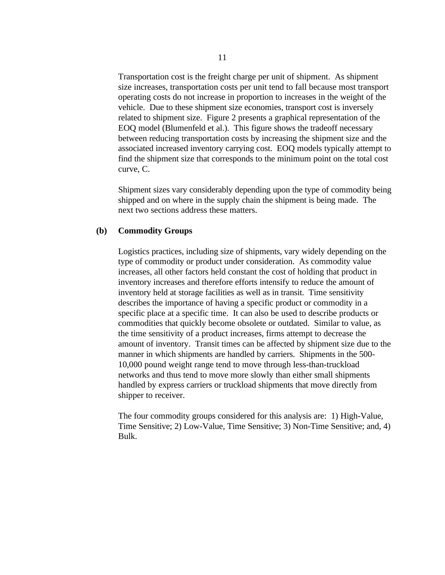Transportation cost is the freight charge per unit of shipment. As shipment size increases, transportation costs per unit tend to fall because most transport operating costs do not increase in proportion to increases in the weight of the vehicle. Due to these shipment size economies, transport cost is inversely related to shipment size. Figure 2 presents a graphical representation of the EOQ model (Blumenfeld et al.). This figure shows the tradeoff necessary between reducing transportation costs by increasing the shipment size and the associated increased inventory carrying cost. EOQ models typically attempt to find the shipment size that corresponds to the minimum point on the total cost curve, C.

Shipment sizes vary considerably depending upon the type of commodity being shipped and on where in the supply chain the shipment is being made. The next two sections address these matters.

# **(b) Commodity Groups**

Logistics practices, including size of shipments, vary widely depending on the type of commodity or product under consideration. As commodity value increases, all other factors held constant the cost of holding that product in inventory increases and therefore efforts intensify to reduce the amount of inventory held at storage facilities as well as in transit. Time sensitivity describes the importance of having a specific product or commodity in a specific place at a specific time. It can also be used to describe products or commodities that quickly become obsolete or outdated. Similar to value, as the time sensitivity of a product increases, firms attempt to decrease the amount of inventory. Transit times can be affected by shipment size due to the manner in which shipments are handled by carriers. Shipments in the 500- 10,000 pound weight range tend to move through less-than-truckload networks and thus tend to move more slowly than either small shipments handled by express carriers or truckload shipments that move directly from shipper to receiver.

The four commodity groups considered for this analysis are: 1) High-Value, Time Sensitive; 2) Low-Value, Time Sensitive; 3) Non-Time Sensitive; and, 4) Bulk.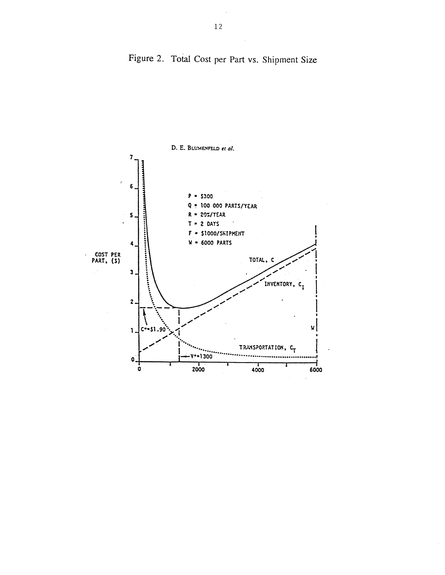

Figure 2. Total Cost per Part vs. Shipment Size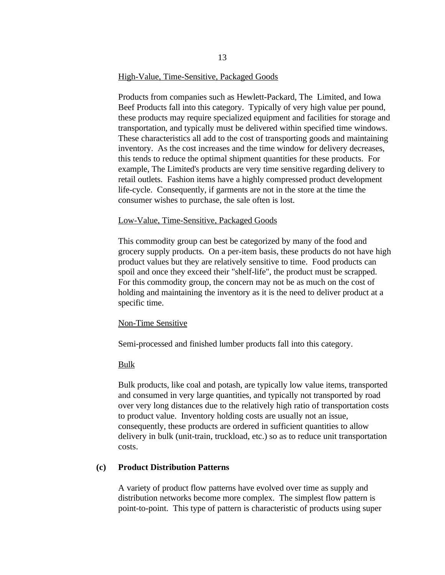# High-Value, Time-Sensitive, Packaged Goods

Products from companies such as Hewlett-Packard, The Limited, and Iowa Beef Products fall into this category. Typically of very high value per pound, these products may require specialized equipment and facilities for storage and transportation, and typically must be delivered within specified time windows. These characteristics all add to the cost of transporting goods and maintaining inventory. As the cost increases and the time window for delivery decreases, this tends to reduce the optimal shipment quantities for these products. For example, The Limited's products are very time sensitive regarding delivery to retail outlets. Fashion items have a highly compressed product development life-cycle. Consequently, if garments are not in the store at the time the consumer wishes to purchase, the sale often is lost.

#### Low-Value, Time-Sensitive, Packaged Goods

This commodity group can best be categorized by many of the food and grocery supply products. On a per-item basis, these products do not have high product values but they are relatively sensitive to time. Food products can spoil and once they exceed their "shelf-life", the product must be scrapped. For this commodity group, the concern may not be as much on the cost of holding and maintaining the inventory as it is the need to deliver product at a specific time.

#### Non-Time Sensitive

Semi-processed and finished lumber products fall into this category.

#### Bulk

Bulk products, like coal and potash, are typically low value items, transported and consumed in very large quantities, and typically not transported by road over very long distances due to the relatively high ratio of transportation costs to product value. Inventory holding costs are usually not an issue, consequently, these products are ordered in sufficient quantities to allow delivery in bulk (unit-train, truckload, etc.) so as to reduce unit transportation costs.

### **(c) Product Distribution Patterns**

A variety of product flow patterns have evolved over time as supply and distribution networks become more complex. The simplest flow pattern is point-to-point. This type of pattern is characteristic of products using super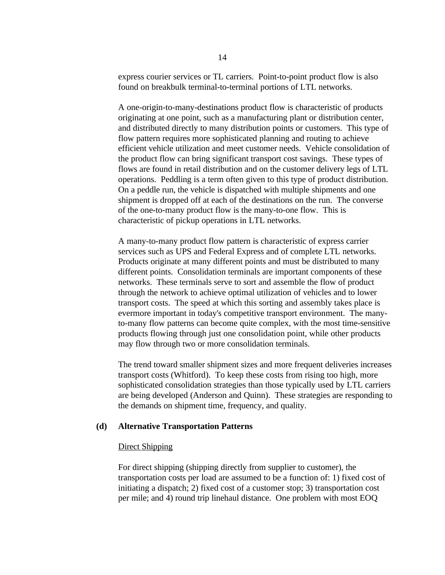express courier services or TL carriers. Point-to-point product flow is also found on breakbulk terminal-to-terminal portions of LTL networks.

A one-origin-to-many-destinations product flow is characteristic of products originating at one point, such as a manufacturing plant or distribution center, and distributed directly to many distribution points or customers. This type of flow pattern requires more sophisticated planning and routing to achieve efficient vehicle utilization and meet customer needs. Vehicle consolidation of the product flow can bring significant transport cost savings. These types of flows are found in retail distribution and on the customer delivery legs of LTL operations. Peddling is a term often given to this type of product distribution. On a peddle run, the vehicle is dispatched with multiple shipments and one shipment is dropped off at each of the destinations on the run. The converse of the one-to-many product flow is the many-to-one flow. This is characteristic of pickup operations in LTL networks.

A many-to-many product flow pattern is characteristic of express carrier services such as UPS and Federal Express and of complete LTL networks. Products originate at many different points and must be distributed to many different points. Consolidation terminals are important components of these networks. These terminals serve to sort and assemble the flow of product through the network to achieve optimal utilization of vehicles and to lower transport costs. The speed at which this sorting and assembly takes place is evermore important in today's competitive transport environment. The manyto-many flow patterns can become quite complex, with the most time-sensitive products flowing through just one consolidation point, while other products may flow through two or more consolidation terminals.

The trend toward smaller shipment sizes and more frequent deliveries increases transport costs (Whitford). To keep these costs from rising too high, more sophisticated consolidation strategies than those typically used by LTL carriers are being developed (Anderson and Quinn). These strategies are responding to the demands on shipment time, frequency, and quality.

# **(d) Alternative Transportation Patterns**

# Direct Shipping

For direct shipping (shipping directly from supplier to customer), the transportation costs per load are assumed to be a function of: 1) fixed cost of initiating a dispatch; 2) fixed cost of a customer stop; 3) transportation cost per mile; and 4) round trip linehaul distance. One problem with most EOQ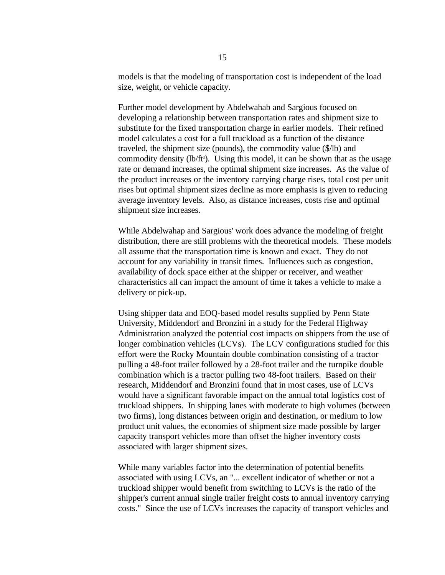models is that the modeling of transportation cost is independent of the load size, weight, or vehicle capacity.

Further model development by Abdelwahab and Sargious focused on developing a relationship between transportation rates and shipment size to substitute for the fixed transportation charge in earlier models. Their refined model calculates a cost for a full truckload as a function of the distance traveled, the shipment size (pounds), the commodity value (\$/lb) and commodity density (lb/ft<sup>3</sup>). Using this model, it can be shown that as the usage rate or demand increases, the optimal shipment size increases. As the value of the product increases or the inventory carrying charge rises, total cost per unit rises but optimal shipment sizes decline as more emphasis is given to reducing average inventory levels. Also, as distance increases, costs rise and optimal shipment size increases.

While Abdelwahap and Sargious' work does advance the modeling of freight distribution, there are still problems with the theoretical models. These models all assume that the transportation time is known and exact. They do not account for any variability in transit times. Influences such as congestion, availability of dock space either at the shipper or receiver, and weather characteristics all can impact the amount of time it takes a vehicle to make a delivery or pick-up.

Using shipper data and EOQ-based model results supplied by Penn State University, Middendorf and Bronzini in a study for the Federal Highway Administration analyzed the potential cost impacts on shippers from the use of longer combination vehicles (LCVs). The LCV configurations studied for this effort were the Rocky Mountain double combination consisting of a tractor pulling a 48-foot trailer followed by a 28-foot trailer and the turnpike double combination which is a tractor pulling two 48-foot trailers. Based on their research, Middendorf and Bronzini found that in most cases, use of LCVs would have a significant favorable impact on the annual total logistics cost of truckload shippers. In shipping lanes with moderate to high volumes (between two firms), long distances between origin and destination, or medium to low product unit values, the economies of shipment size made possible by larger capacity transport vehicles more than offset the higher inventory costs associated with larger shipment sizes.

While many variables factor into the determination of potential benefits associated with using LCVs, an "... excellent indicator of whether or not a truckload shipper would benefit from switching to LCVs is the ratio of the shipper's current annual single trailer freight costs to annual inventory carrying costs." Since the use of LCVs increases the capacity of transport vehicles and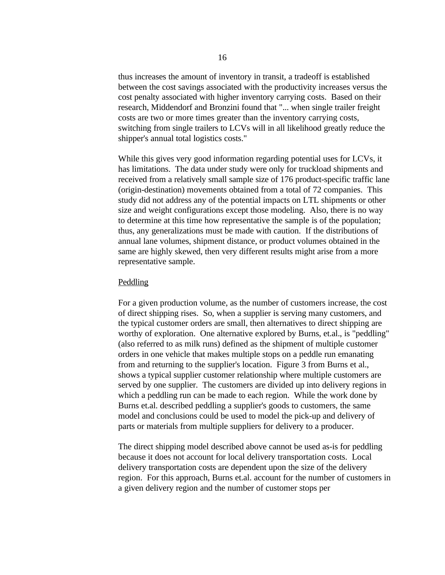thus increases the amount of inventory in transit, a tradeoff is established between the cost savings associated with the productivity increases versus the cost penalty associated with higher inventory carrying costs. Based on their research, Middendorf and Bronzini found that "... when single trailer freight costs are two or more times greater than the inventory carrying costs, switching from single trailers to LCVs will in all likelihood greatly reduce the shipper's annual total logistics costs."

While this gives very good information regarding potential uses for LCVs, it has limitations. The data under study were only for truckload shipments and received from a relatively small sample size of 176 product-specific traffic lane (origin-destination) movements obtained from a total of 72 companies. This study did not address any of the potential impacts on LTL shipments or other size and weight configurations except those modeling. Also, there is no way to determine at this time how representative the sample is of the population; thus, any generalizations must be made with caution. If the distributions of annual lane volumes, shipment distance, or product volumes obtained in the same are highly skewed, then very different results might arise from a more representative sample.

#### **Peddling**

For a given production volume, as the number of customers increase, the cost of direct shipping rises. So, when a supplier is serving many customers, and the typical customer orders are small, then alternatives to direct shipping are worthy of exploration. One alternative explored by Burns, et.al., is "peddling" (also referred to as milk runs) defined as the shipment of multiple customer orders in one vehicle that makes multiple stops on a peddle run emanating from and returning to the supplier's location. Figure 3 from Burns et al., shows a typical supplier customer relationship where multiple customers are served by one supplier. The customers are divided up into delivery regions in which a peddling run can be made to each region. While the work done by Burns et.al. described peddling a supplier's goods to customers, the same model and conclusions could be used to model the pick-up and delivery of parts or materials from multiple suppliers for delivery to a producer.

The direct shipping model described above cannot be used as-is for peddling because it does not account for local delivery transportation costs. Local delivery transportation costs are dependent upon the size of the delivery region. For this approach, Burns et.al. account for the number of customers in a given delivery region and the number of customer stops per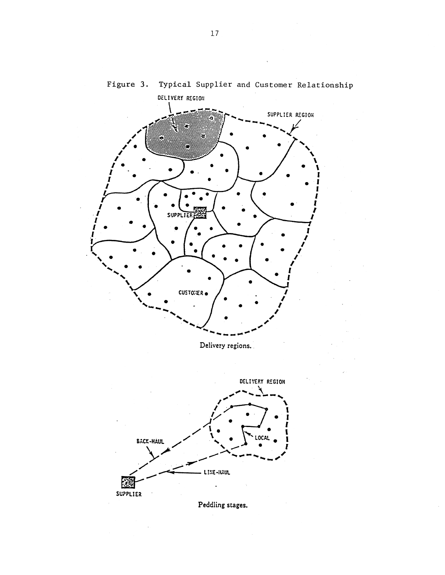

# Figure 3. Typical Supplier and Customer Relationship



Peddling stages.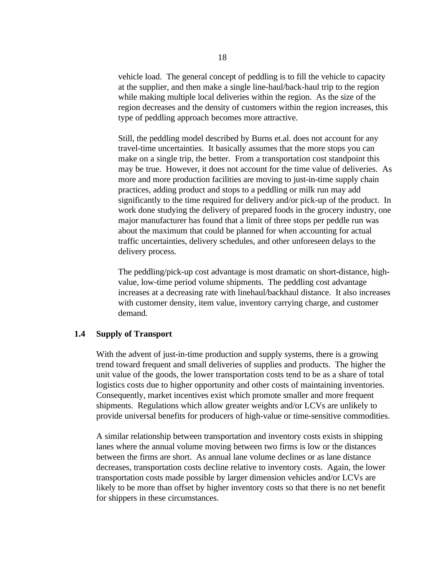vehicle load. The general concept of peddling is to fill the vehicle to capacity at the supplier, and then make a single line-haul/back-haul trip to the region while making multiple local deliveries within the region. As the size of the region decreases and the density of customers within the region increases, this type of peddling approach becomes more attractive.

Still, the peddling model described by Burns et.al. does not account for any travel-time uncertainties. It basically assumes that the more stops you can make on a single trip, the better. From a transportation cost standpoint this may be true. However, it does not account for the time value of deliveries. As more and more production facilities are moving to just-in-time supply chain practices, adding product and stops to a peddling or milk run may add significantly to the time required for delivery and/or pick-up of the product. In work done studying the delivery of prepared foods in the grocery industry, one major manufacturer has found that a limit of three stops per peddle run was about the maximum that could be planned for when accounting for actual traffic uncertainties, delivery schedules, and other unforeseen delays to the delivery process.

The peddling/pick-up cost advantage is most dramatic on short-distance, highvalue, low-time period volume shipments. The peddling cost advantage increases at a decreasing rate with linehaul/backhaul distance. It also increases with customer density, item value, inventory carrying charge, and customer demand.

#### **1.4 Supply of Transport**

With the advent of just-in-time production and supply systems, there is a growing trend toward frequent and small deliveries of supplies and products. The higher the unit value of the goods, the lower transportation costs tend to be as a share of total logistics costs due to higher opportunity and other costs of maintaining inventories. Consequently, market incentives exist which promote smaller and more frequent shipments. Regulations which allow greater weights and/or LCVs are unlikely to provide universal benefits for producers of high-value or time-sensitive commodities.

A similar relationship between transportation and inventory costs exists in shipping lanes where the annual volume moving between two firms is low or the distances between the firms are short. As annual lane volume declines or as lane distance decreases, transportation costs decline relative to inventory costs. Again, the lower transportation costs made possible by larger dimension vehicles and/or LCVs are likely to be more than offset by higher inventory costs so that there is no net benefit for shippers in these circumstances.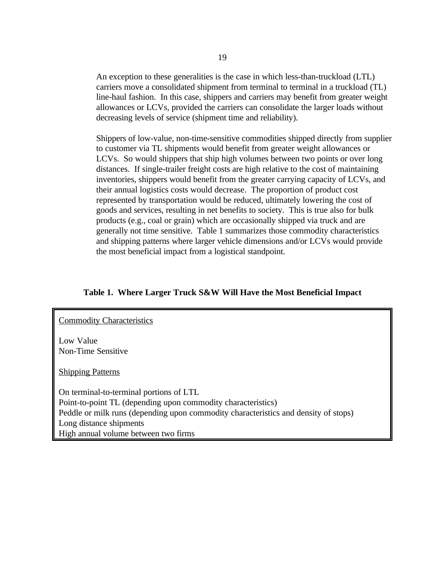An exception to these generalities is the case in which less-than-truckload (LTL) carriers move a consolidated shipment from terminal to terminal in a truckload (TL) line-haul fashion. In this case, shippers and carriers may benefit from greater weight allowances or LCVs, provided the carriers can consolidate the larger loads without decreasing levels of service (shipment time and reliability).

Shippers of low-value, non-time-sensitive commodities shipped directly from supplier to customer via TL shipments would benefit from greater weight allowances or LCVs. So would shippers that ship high volumes between two points or over long distances. If single-trailer freight costs are high relative to the cost of maintaining inventories, shippers would benefit from the greater carrying capacity of LCVs, and their annual logistics costs would decrease. The proportion of product cost represented by transportation would be reduced, ultimately lowering the cost of goods and services, resulting in net benefits to society. This is true also for bulk products (e.g., coal or grain) which are occasionally shipped via truck and are generally not time sensitive. Table 1 summarizes those commodity characteristics and shipping patterns where larger vehicle dimensions and/or LCVs would provide the most beneficial impact from a logistical standpoint.

# **Table 1. Where Larger Truck S&W Will Have the Most Beneficial Impact**

#### **Commodity Characteristics**

Low Value Non-Time Sensitive

Shipping Patterns

On terminal-to-terminal portions of LTL Point-to-point TL (depending upon commodity characteristics) Peddle or milk runs (depending upon commodity characteristics and density of stops) Long distance shipments High annual volume between two firms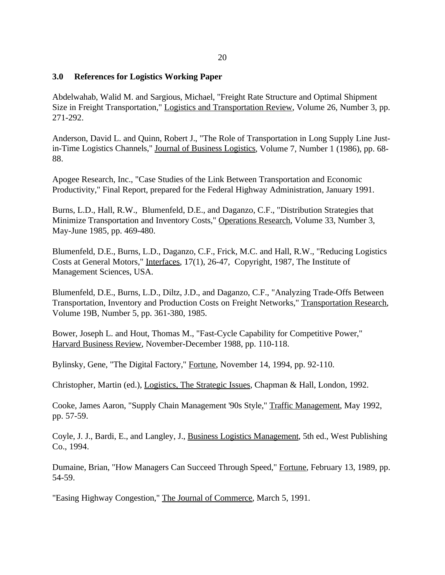# **3.0 References for Logistics Working Paper**

Abdelwahab, Walid M. and Sargious, Michael, "Freight Rate Structure and Optimal Shipment Size in Freight Transportation," Logistics and Transportation Review, Volume 26, Number 3, pp. 271-292.

Anderson, David L. and Quinn, Robert J., "The Role of Transportation in Long Supply Line Justin-Time Logistics Channels," Journal of Business Logistics, Volume 7, Number 1 (1986), pp. 68- 88.

Apogee Research, Inc., "Case Studies of the Link Between Transportation and Economic Productivity," Final Report, prepared for the Federal Highway Administration, January 1991.

Burns, L.D., Hall, R.W., Blumenfeld, D.E., and Daganzo, C.F., "Distribution Strategies that Minimize Transportation and Inventory Costs," Operations Research, Volume 33, Number 3, May-June 1985, pp. 469-480.

Blumenfeld, D.E., Burns, L.D., Daganzo, C.F., Frick, M.C. and Hall, R.W., "Reducing Logistics Costs at General Motors," Interfaces, 17(1), 26-47, Copyright, 1987, The Institute of Management Sciences, USA.

Blumenfeld, D.E., Burns, L.D., Diltz, J.D., and Daganzo, C.F., "Analyzing Trade-Offs Between Transportation, Inventory and Production Costs on Freight Networks," Transportation Research, Volume 19B, Number 5, pp. 361-380, 1985.

Bower, Joseph L. and Hout, Thomas M., "Fast-Cycle Capability for Competitive Power," Harvard Business Review, November-December 1988, pp. 110-118.

Bylinsky, Gene, "The Digital Factory," Fortune, November 14, 1994, pp. 92-110.

Christopher, Martin (ed.), Logistics, The Strategic Issues, Chapman & Hall, London, 1992.

Cooke, James Aaron, "Supply Chain Management '90s Style," Traffic Management, May 1992, pp. 57-59.

Coyle, J. J., Bardi, E., and Langley, J., Business Logistics Management, 5th ed., West Publishing Co., 1994.

Dumaine, Brian, "How Managers Can Succeed Through Speed," Fortune, February 13, 1989, pp. 54-59.

"Easing Highway Congestion," The Journal of Commerce, March 5, 1991.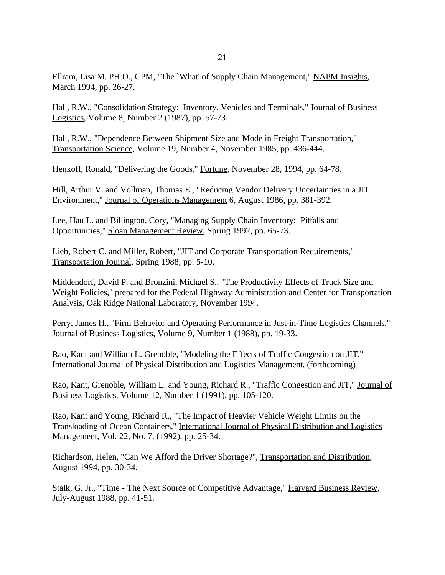Ellram, Lisa M. PH.D., CPM, "The `What' of Supply Chain Management," NAPM Insights, March 1994, pp. 26-27.

Hall, R.W., "Consolidation Strategy: Inventory, Vehicles and Terminals," Journal of Business Logistics, Volume 8, Number 2 (1987), pp. 57-73.

Hall, R.W., "Dependence Between Shipment Size and Mode in Freight Transportation," Transportation Science, Volume 19, Number 4, November 1985, pp. 436-444.

Henkoff, Ronald, "Delivering the Goods," Fortune, November 28, 1994, pp. 64-78.

Hill, Arthur V. and Vollman, Thomas E., "Reducing Vendor Delivery Uncertainties in a JIT Environment," Journal of Operations Management 6, August 1986, pp. 381-392.

Lee, Hau L. and Billington, Cory, "Managing Supply Chain Inventory: Pitfalls and Opportunities," Sloan Management Review, Spring 1992, pp. 65-73.

Lieb, Robert C. and Miller, Robert, "JIT and Corporate Transportation Requirements," Transportation Journal, Spring 1988, pp. 5-10.

Middendorf, David P. and Bronzini, Michael S., "The Productivity Effects of Truck Size and Weight Policies," prepared for the Federal Highway Administration and Center for Transportation Analysis, Oak Ridge National Laboratory, November 1994.

Perry, James H., "Firm Behavior and Operating Performance in Just-in-Time Logistics Channels," Journal of Business Logistics, Volume 9, Number 1 (1988), pp. 19-33.

Rao, Kant and William L. Grenoble, "Modeling the Effects of Traffic Congestion on JIT," International Journal of Physical Distribution and Logistics Management, (forthcoming)

Rao, Kant, Grenoble, William L. and Young, Richard R., "Traffic Congestion and JIT," Journal of Business Logistics, Volume 12, Number 1 (1991), pp. 105-120.

Rao, Kant and Young, Richard R., "The Impact of Heavier Vehicle Weight Limits on the Transloading of Ocean Containers," International Journal of Physical Distribution and Logistics Management, Vol. 22, No. 7, (1992), pp. 25-34.

Richardson, Helen, "Can We Afford the Driver Shortage?", Transportation and Distribution, August 1994, pp. 30-34.

Stalk, G. Jr., "Time - The Next Source of Competitive Advantage," Harvard Business Review, July-August 1988, pp. 41-51.